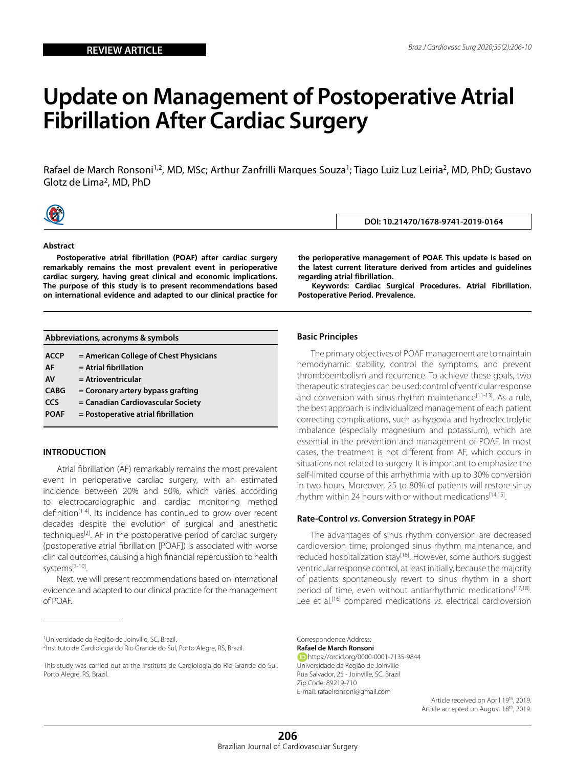# **Update on Management of Postoperative Atrial Fibrillation After Cardiac Surgery**

Rafael de March Ronsoni<sup>1,2</sup>, MD, MSc; Arthur Zanfrilli Marques Souza<sup>1</sup>; Tiago Luiz Luz Leiria<sup>2</sup>, MD, PhD; Gustavo Glotz de Lima2, MD, PhD



**Abstract**

**Postoperative atrial fibrillation (POAF) after cardiac surgery remarkably remains the most prevalent event in perioperative cardiac surgery, having great clinical and economic implications. The purpose of this study is to present recommendations based on international evidence and adapted to our clinical practice for**  **the perioperative management of POAF. This update is based on the latest current literature derived from articles and guidelines regarding atrial fibrillation.**

**DOI: 10.21470/1678-9741-2019-0164**

**Keywords: Cardiac Surgical Procedures. Atrial Fibrillation. Postoperative Period. Prevalence.**

| Abbreviations, acronyms & symbols |  |  |  |
|-----------------------------------|--|--|--|
|-----------------------------------|--|--|--|

| <b>ACCP</b> | = American College of Chest Physicians |
|-------------|----------------------------------------|
|-------------|----------------------------------------|

- **AF = Atrial fibrillation**
- **AV = Atrioventricular**
- **CABG = Coronary artery bypass grafting**
- **CCS = Canadian Cardiovascular Society**
- **POAF = Postoperative atrial fibrillation**

### **INTRODUCTION**

Atrial fibrillation (AF) remarkably remains the most prevalent event in perioperative cardiac surgery, with an estimated incidence between 20% and 50%, which varies according to electrocardiographic and cardiac monitoring method definition<sup>[1-4]</sup>. Its incidence has continued to grow over recent decades despite the evolution of surgical and anesthetic techniques<sup>[2]</sup>. AF in the postoperative period of cardiac surgery (postoperative atrial fibrillation [POAF]) is associated with worse clinical outcomes, causing a high financial repercussion to health systems[3-10].

Next, we will present recommendations based on international evidence and adapted to our clinical practice for the management of POAF.

1 Universidade da Região de Joinville, SC, Brazil. 2 Instituto de Cardiologia do Rio Grande do Sul, Porto Alegre, RS, Brazil.

### **Basic Principles**

The primary objectives of POAF management are to maintain hemodynamic stability, control the symptoms, and prevent thromboembolism and recurrence. To achieve these goals, two therapeutic strategies can be used: control of ventricular response and conversion with sinus rhythm maintenance<sup>[11-13]</sup>. As a rule, the best approach is individualized management of each patient correcting complications, such as hypoxia and hydroelectrolytic imbalance (especially magnesium and potassium), which are essential in the prevention and management of POAF. In most cases, the treatment is not different from AF, which occurs in situations not related to surgery. It is important to emphasize the self-limited course of this arrhythmia with up to 30% conversion in two hours. Moreover, 25 to 80% of patients will restore sinus rhythm within 24 hours with or without medications<sup>[14,15]</sup>.

## **Rate-Control** *vs***. Conversion Strategy in POAF**

The advantages of sinus rhythm conversion are decreased cardioversion time, prolonged sinus rhythm maintenance, and reduced hospitalization stay<sup>[16]</sup>. However, some authors suggest ventricular response control, at least initially, because the majority of patients spontaneously revert to sinus rhythm in a short period of time, even without antiarrhythmic medications<sup>[17,18]</sup>. Lee et al.[16] compared medications *vs*. electrical cardioversion

Correspondence Address: **Rafael de March Ronsoni** https://orcid.org/0000-0001-7135-9844 Universidade da Região de Joinville Rua Salvador, 25 - Joinville, SC, Brazil Zip Code: 89219-710 E-mail: rafaelronsoni@gmail.com

Article received on April 19th, 2019. Article accepted on August 18<sup>th</sup>, 2019.

This study was carried out at the Instituto de Cardiologia do Rio Grande do Sul, Porto Alegre, RS, Brazil.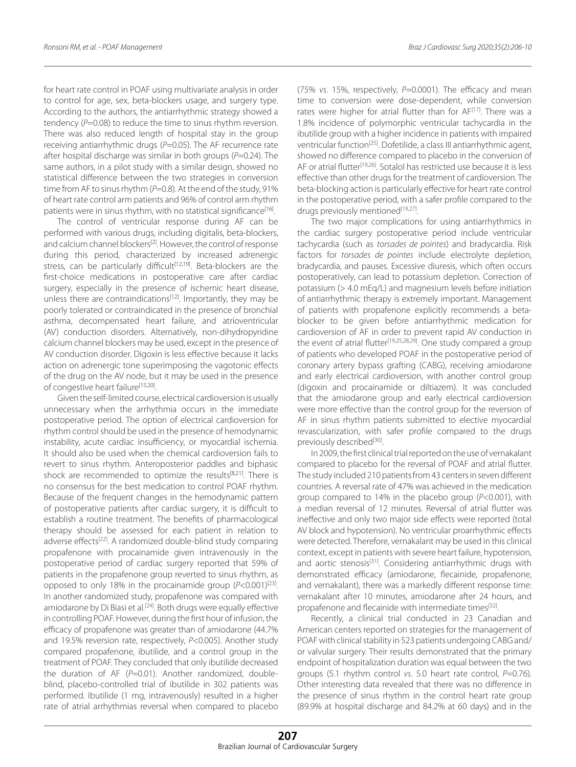for heart rate control in POAF using multivariate analysis in order to control for age, sex, beta-blockers usage, and surgery type. According to the authors, the antiarrhythmic strategy showed a tendency (P=0.08) to reduce the time to sinus rhythm reversion. There was also reduced length of hospital stay in the group receiving antiarrhythmic drugs (P=0.05). The AF recurrence rate after hospital discharge was similar in both groups (*P*=0.24). The same authors, in a pilot study with a similar design, showed no statistical difference between the two strategies in conversion time from AF to sinus rhythm (P=0.8). At the end of the study, 91% of heart rate control arm patients and 96% of control arm rhythm patients were in sinus rhythm, with no statistical significance<sup>[16]</sup>.

The control of ventricular response during AF can be performed with various drugs, including digitalis, beta-blockers, and calcium channel blockers<sup>[2]</sup>. However, the control of response during this period, characterized by increased adrenergic stress, can be particularly difficult<sup>[12,19]</sup>. Beta-blockers are the first-choice medications in postoperative care after cardiac surgery, especially in the presence of ischemic heart disease, unless there are contraindications<sup>[12]</sup>. Importantly, they may be poorly tolerated or contraindicated in the presence of bronchial asthma, decompensated heart failure, and atrioventricular (AV) conduction disorders. Alternatively, non-dihydropyridine calcium channel blockers may be used, except in the presence of AV conduction disorder. Digoxin is less effective because it lacks action on adrenergic tone superimposing the vagotonic effects of the drug on the AV node, but it may be used in the presence of congestive heart failure<sup>[15,20]</sup>.

Given the self-limited course, electrical cardioversion is usually unnecessary when the arrhythmia occurs in the immediate postoperative period. The option of electrical cardioversion for rhythm control should be used in the presence of hemodynamic instability, acute cardiac insufficiency, or myocardial ischemia. It should also be used when the chemical cardioversion fails to revert to sinus rhythm. Anteroposterior paddles and biphasic shock are recommended to optimize the results $[8,21]$ . There is no consensus for the best medication to control POAF rhythm. Because of the frequent changes in the hemodynamic pattern of postoperative patients after cardiac surgery, it is difficult to establish a routine treatment. The benefits of pharmacological therapy should be assessed for each patient in relation to adverse effects<sup>[22]</sup>. A randomized double-blind study comparing propafenone with procainamide given intravenously in the postoperative period of cardiac surgery reported that 59% of patients in the propafenone group reverted to sinus rhythm, as opposed to only 18% in the procainamide group (P<0.001)<sup>[23]</sup>. In another randomized study, propafenone was compared with amiodarone by Di Biasi et al.<sup>[24]</sup>. Both drugs were equally effective in controlling POAF. However, during the first hour of infusion, the efficacy of propafenone was greater than of amiodarone (44.7% and 19.5% reversion rate, respectively, *P*<0.005). Another study compared propafenone, ibutilide, and a control group in the treatment of POAF. They concluded that only ibutilide decreased the duration of AF (P=0.01). Another randomized, doubleblind, placebo-controlled trial of ibutilide in 302 patients was performed. Ibutilide (1 mg, intravenously) resulted in a higher rate of atrial arrhythmias reversal when compared to placebo

(75% *vs*. 15%, respectively, *P*=0.0001). The efficacy and mean time to conversion were dose-dependent, while conversion rates were higher for atrial flutter than for AF<sup>[17]</sup>. There was a 1.8% incidence of polymorphic ventricular tachycardia in the ibutilide group with a higher incidence in patients with impaired ventricular function<sup>[25]</sup>. Dofetilide, a class III antiarrhythmic agent, showed no difference compared to placebo in the conversion of AF or atrial flutter<sup>[19,26]</sup>. Sotalol has restricted use because it is less effective than other drugs for the treatment of cardioversion. The beta-blocking action is particularly effective for heart rate control in the postoperative period, with a safer profile compared to the drugs previously mentioned<sup>[19,27]</sup>.

The two major complications for using antiarrhythmics in the cardiac surgery postoperative period include ventricular tachycardia (such as *torsades de pointes*) and bradycardia. Risk factors for *torsades de pointes* include electrolyte depletion, bradycardia, and pauses. Excessive diuresis, which often occurs postoperatively, can lead to potassium depletion. Correction of potassium (> 4.0 mEq/L) and magnesium levels before initiation of antiarrhythmic therapy is extremely important. Management of patients with propafenone explicitly recommends a betablocker to be given before antiarrhythmic medication for cardioversion of AF in order to prevent rapid AV conduction in the event of atrial flutter<sup>[19,25,28,29]</sup>. One study compared a group of patients who developed POAF in the postoperative period of coronary artery bypass grafting (CABG), receiving amiodarone and early electrical cardioversion, with another control group (digoxin and procainamide or diltiazem). It was concluded that the amiodarone group and early electrical cardioversion were more effective than the control group for the reversion of AF in sinus rhythm patients submitted to elective myocardial revascularization, with safer profile compared to the drugs previously described<sup>[30]</sup>.

In 2009, the first clinical trial reported on the use of vernakalant compared to placebo for the reversal of POAF and atrial flutter. The study included 210 patients from 43 centers in seven different countries. A reversal rate of 47% was achieved in the medication group compared to 14% in the placebo group (*P*<0.001), with a median reversal of 12 minutes. Reversal of atrial flutter was ineffective and only two major side effects were reported (total AV block and hypotension). No ventricular proarrhythmic effects were detected. Therefore, vernakalant may be used in this clinical context, except in patients with severe heart failure, hypotension, and aortic stenosis<sup>[31]</sup>. Considering antiarrhythmic drugs with demonstrated efficacy (amiodarone, flecainide, propafenone, and vernakalant), there was a markedly different response time: vernakalant after 10 minutes, amiodarone after 24 hours, and propafenone and flecainide with intermediate times<sup>[32]</sup>.

Recently, a clinical trial conducted in 23 Canadian and American centers reported on strategies for the management of POAF with clinical stability in 523 patients undergoing CABG and/ or valvular surgery. Their results demonstrated that the primary endpoint of hospitalization duration was equal between the two groups (5.1 rhythm control *vs*. 5.0 heart rate control, *P*=0.76). Other interesting data revealed that there was no difference in the presence of sinus rhythm in the control heart rate group (89.9% at hospital discharge and 84.2% at 60 days) and in the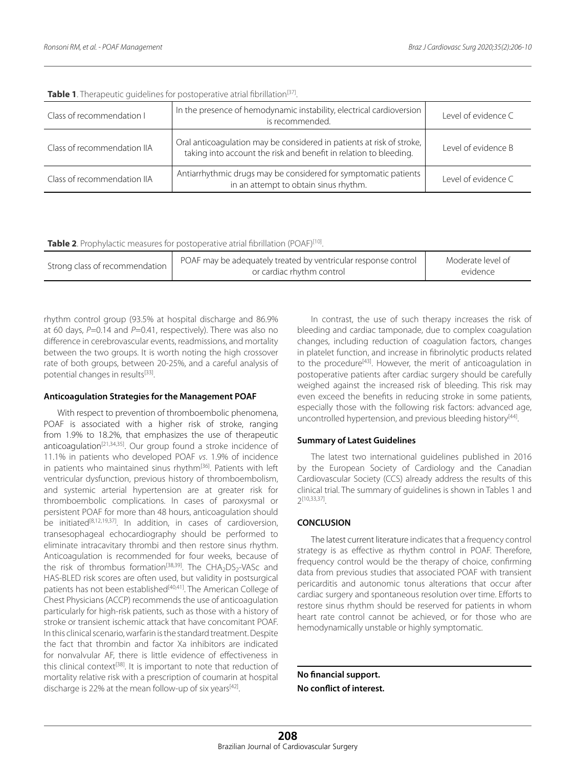| Class of recommendation I   | In the presence of hemodynamic instability, electrical cardioversion<br>is recommended.                                                    | Level of evidence C |
|-----------------------------|--------------------------------------------------------------------------------------------------------------------------------------------|---------------------|
| Class of recommendation IIA | Oral anticoagulation may be considered in patients at risk of stroke,<br>taking into account the risk and benefit in relation to bleeding. | Level of evidence B |
| Class of recommendation IIA | Antiarrhythmic drugs may be considered for symptomatic patients<br>in an attempt to obtain sinus rhythm.                                   | Level of evidence C |

**Table 1**. Therapeutic quidelines for postoperative atrial fibrillation<sup>[37]</sup>.

Table 2. Prophylactic measures for postoperative atrial fibrillation (POAF)<sup>[10]</sup>.

| POAF may be adequately treated by ventricular response control<br>Strong class of recommendation 1<br>or cardiac rhythm control | Moderate level of<br>evidence |
|---------------------------------------------------------------------------------------------------------------------------------|-------------------------------|
|---------------------------------------------------------------------------------------------------------------------------------|-------------------------------|

rhythm control group (93.5% at hospital discharge and 86.9% at 60 days, *P*=0.14 and *P*=0.41, respectively). There was also no difference in cerebrovascular events, readmissions, and mortality between the two groups. It is worth noting the high crossover rate of both groups, between 20-25%, and a careful analysis of potential changes in results<sup>[33]</sup>.

### **Anticoagulation Strategies for the Management POAF**

With respect to prevention of thromboembolic phenomena, POAF is associated with a higher risk of stroke, ranging from 1.9% to 18.2%, that emphasizes the use of therapeutic anticoagulation<sup>[21,34,35]</sup>. Our group found a stroke incidence of 11.1% in patients who developed POAF *vs*. 1.9% of incidence in patients who maintained sinus rhythm<sup>[36]</sup>. Patients with left ventricular dysfunction, previous history of thromboembolism, and systemic arterial hypertension are at greater risk for thromboembolic complications. In cases of paroxysmal or persistent POAF for more than 48 hours, anticoagulation should .<br>be initiated<sup>[8,12,19,37]</sup>. In addition, in cases of cardioversion, transesophageal echocardiography should be performed to eliminate intracavitary thrombi and then restore sinus rhythm. Anticoagulation is recommended for four weeks, because of the risk of thrombus formation<sup>[38,39]</sup>. The CHA<sub>2</sub>DS<sub>2</sub>-VASc and HAS-BLED risk scores are often used, but validity in postsurgical patients has not been established<sup>[40,41]</sup>. The American College of Chest Physicians (ACCP) recommends the use of anticoagulation particularly for high-risk patients, such as those with a history of stroke or transient ischemic attack that have concomitant POAF. In this clinical scenario, warfarin is the standard treatment. Despite the fact that thrombin and factor Xa inhibitors are indicated for nonvalvular AF, there is little evidence of effectiveness in this clinical context<sup>[38]</sup>. It is important to note that reduction of mortality relative risk with a prescription of coumarin at hospital discharge is 22% at the mean follow-up of six years[42].

In contrast, the use of such therapy increases the risk of bleeding and cardiac tamponade, due to complex coagulation changes, including reduction of coagulation factors, changes in platelet function, and increase in fibrinolytic products related to the procedure<sup>[43]</sup>. However, the merit of anticoagulation in postoperative patients after cardiac surgery should be carefully weighed against the increased risk of bleeding. This risk may even exceed the benefits in reducing stroke in some patients, especially those with the following risk factors: advanced age, uncontrolled hypertension, and previous bleeding history<sup>[44]</sup>.

## **Summary of Latest Guidelines**

The latest two international guidelines published in 2016 by the European Society of Cardiology and the Canadian Cardiovascular Society (CCS) already address the results of this clinical trial. The summary of guidelines is shown in Tables 1 and 2[10,33,37].

## **CONCLUSION**

The latest current literature indicates that a frequency control strategy is as effective as rhythm control in POAF. Therefore, frequency control would be the therapy of choice, confirming data from previous studies that associated POAF with transient pericarditis and autonomic tonus alterations that occur after cardiac surgery and spontaneous resolution over time. Efforts to restore sinus rhythm should be reserved for patients in whom heart rate control cannot be achieved, or for those who are hemodynamically unstable or highly symptomatic.

**No financial support. No conflict of interest.**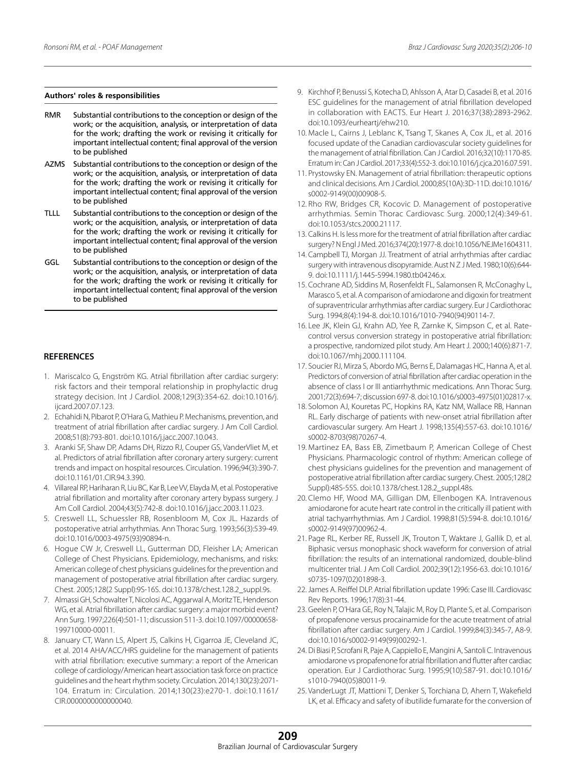#### **Authors' roles & responsibilities**

- RMR Substantial contributions to the conception or design of the work; or the acquisition, analysis, or interpretation of data for the work; drafting the work or revising it critically for important intellectual content; final approval of the version to be published
- AZMS Substantial contributions to the conception or design of the work; or the acquisition, analysis, or interpretation of data for the work; drafting the work or revising it critically for important intellectual content; final approval of the version to be published
- TLLL Substantial contributions to the conception or design of the work; or the acquisition, analysis, or interpretation of data for the work; drafting the work or revising it critically for important intellectual content; final approval of the version to be published
- GGL Substantial contributions to the conception or design of the work; or the acquisition, analysis, or interpretation of data for the work; drafting the work or revising it critically for important intellectual content; final approval of the version to be published

#### **REFERENCES**

- 1. Mariscalco G, Engström KG. Atrial fibrillation after cardiac surgery: risk factors and their temporal relationship in prophylactic drug strategy decision. Int J Cardiol. 2008;129(3):354-62. doi:10.1016/j. ijcard.2007.07.123.
- 2. Echahidi N, Pibarot P, O'Hara G, Mathieu P. Mechanisms, prevention, and treatment of atrial fibrillation after cardiac surgery. J Am Coll Cardiol. 2008;51(8):793-801. doi:10.1016/j.jacc.2007.10.043.
- 3. Aranki SF, Shaw DP, Adams DH, Rizzo RJ, Couper GS, VanderVliet M, et al. Predictors of atrial fibrillation after coronary artery surgery: current trends and impact on hospital resources. Circulation. 1996;94(3):390-7. doi:10.1161/01.CIR.94.3.390.
- 4. Villareal RP, Hariharan R, Liu BC, Kar B, Lee VV, Elayda M, et al. Postoperative atrial fibrillation and mortality after coronary artery bypass surgery. J Am Coll Cardiol. 2004;43(5):742-8. doi:10.1016/j.jacc.2003.11.023.
- 5. Creswell LL, Schuessler RB, Rosenbloom M, Cox JL. Hazards of postoperative atrial arrhythmias. Ann Thorac Surg. 1993;56(3):539-49. doi:10.1016/0003-4975(93)90894-n.
- 6. Hogue CW Jr, Creswell LL, Gutterman DD, Fleisher LA; American College of Chest Physicians. Epidemiology, mechanisms, and risks: American college of chest physicians guidelines for the prevention and management of postoperative atrial fibrillation after cardiac surgery. Chest. 2005;128(2 Suppl):9S-16S. doi:10.1378/chest.128.2\_suppl.9s.
- 7. Almassi GH, Schowalter T, Nicolosi AC, Aggarwal A, Moritz TE, Henderson WG, et al. Atrial fibrillation after cardiac surgery: a major morbid event? Ann Surg. 1997;226(4):501-11; discussion 511-3. doi:10.1097/00000658- 199710000-00011.
- 8. January CT, Wann LS, Alpert JS, Calkins H, Cigarroa JE, Cleveland JC, et al. 2014 AHA/ACC/HRS guideline for the management of patients with atrial fibrillation: executive summary: a report of the American college of cardiology/American heart association task force on practice guidelines and the heart rhythm society. Circulation. 2014;130(23):2071- 104. Erratum in: Circulation. 2014;130(23):e270-1. doi:10.1161/ CIR.0000000000000040.
- 9. Kirchhof P, Benussi S, Kotecha D, Ahlsson A, Atar D, Casadei B, et al. 2016 ESC guidelines for the management of atrial fibrillation developed in collaboration with EACTS. Eur Heart J. 2016;37(38):2893-2962. doi:10.1093/eurheartj/ehw210.
- 10. Macle L, Cairns J, Leblanc K, Tsang T, Skanes A, Cox JL, et al. 2016 focused update of the Canadian cardiovascular society guidelines for the management of atrial fibrillation. Can J Cardiol. 2016;32(10):1170-85. Erratum in: Can J Cardiol. 2017;33(4):552-3. doi:10.1016/j.cjca.2016.07.591.
- 11. Prystowsky EN. Management of atrial fibrillation: therapeutic options and clinical decisions. Am J Cardiol. 2000;85(10A):3D-11D. doi:10.1016/ s0002-9149(00)00908-5.
- 12. Rho RW, Bridges CR, Kocovic D. Management of postoperative arrhythmias. Semin Thorac Cardiovasc Surg. 2000;12(4):349-61. doi:10.1053/stcs.2000.21117.
- 13. Calkins H. Is less more for the treatment of atrial fibrillation after cardiac surgery? N Engl J Med. 2016;374(20):1977-8. doi:10.1056/NEJMe1604311.
- 14. Campbell TJ, Morgan JJ. Treatment of atrial arrhythmias after cardiac surgery with intravenous disopyramide. Aust N Z J Med. 1980;10(6):644- 9. doi:10.1111/j.1445-5994.1980.tb04246.x.
- 15. Cochrane AD, Siddins M, Rosenfeldt FL, Salamonsen R, McConaghy L, Marasco S, et al. A comparison of amiodarone and digoxin for treatment of supraventricular arrhythmias after cardiac surgery. Eur J Cardiothorac Surg. 1994;8(4):194-8. doi:10.1016/1010-7940(94)90114-7.
- 16. Lee JK, Klein GJ, Krahn AD, Yee R, Zarnke K, Simpson C, et al. Ratecontrol versus conversion strategy in postoperative atrial fibrillation: a prospective, randomized pilot study. Am Heart J. 2000;140(6):871-7. doi:10.1067/mhj.2000.111104.
- 17. Soucier RJ, Mirza S, Abordo MG, Berns E, Dalamagas HC, Hanna A, et al. Predictors of conversion of atrial fibrillation after cardiac operation in the absence of class I or III antiarrhythmic medications. Ann Thorac Surg. 2001;72(3):694-7; discussion 697-8. doi:10.1016/s0003-4975(01)02817-x.
- 18. Solomon AJ, Kouretas PC, Hopkins RA, Katz NM, Wallace RB, Hannan RL. Early discharge of patients with new-onset atrial fibrillation after cardiovascular surgery. Am Heart J. 1998;135(4):557-63. doi:10.1016/ s0002-8703(98)70267-4.
- 19. Martinez EA, Bass EB, Zimetbaum P, American College of Chest Physicians. Pharmacologic control of rhythm: American college of chest physicians guidelines for the prevention and management of postoperative atrial fibrillation after cardiac surgery. Chest. 2005;128(2 Suppl):48S-55S. doi:10.1378/chest.128.2\_suppl.48s.
- 20. Clemo HF, Wood MA, Gilligan DM, Ellenbogen KA. Intravenous amiodarone for acute heart rate control in the critically ill patient with atrial tachyarrhythmias. Am J Cardiol. 1998;81(5):594-8. doi:10.1016/ s0002-9149(97)00962-4.
- 21. Page RL, Kerber RE, Russell JK, Trouton T, Waktare J, Gallik D, et al. Biphasic versus monophasic shock waveform for conversion of atrial fibrillation: the results of an international randomized, double-blind multicenter trial. J Am Coll Cardiol. 2002;39(12):1956-63. doi:10.1016/ s0735-1097(02)01898-3.
- 22. James A. Reiffel DLP. Atrial fibrillation update 1996: Case III. Cardiovasc Rev Reports. 1996;17(8):31-44.
- 23. Geelen P, O'Hara GE, Roy N, Talajic M, Roy D, Plante S, et al. Comparison of propafenone versus procainamide for the acute treatment of atrial fibrillation after cardiac surgery. Am J Cardiol. 1999;84(3):345-7, A8-9. doi:10.1016/s0002-9149(99)00292-1.
- 24. Di Biasi P, Scrofani R, Paje A, Cappiello E, Mangini A, Santoli C. Intravenous amiodarone vs propafenone for atrial fibrillation and flutter after cardiac operation. Eur J Cardiothorac Surg. 1995;9(10):587-91. doi:10.1016/ s1010-7940(05)80011-9.
- 25. VanderLugt JT, Mattioni T, Denker S, Torchiana D, Ahern T, Wakefield LK, et al. Efficacy and safety of ibutilide fumarate for the conversion of